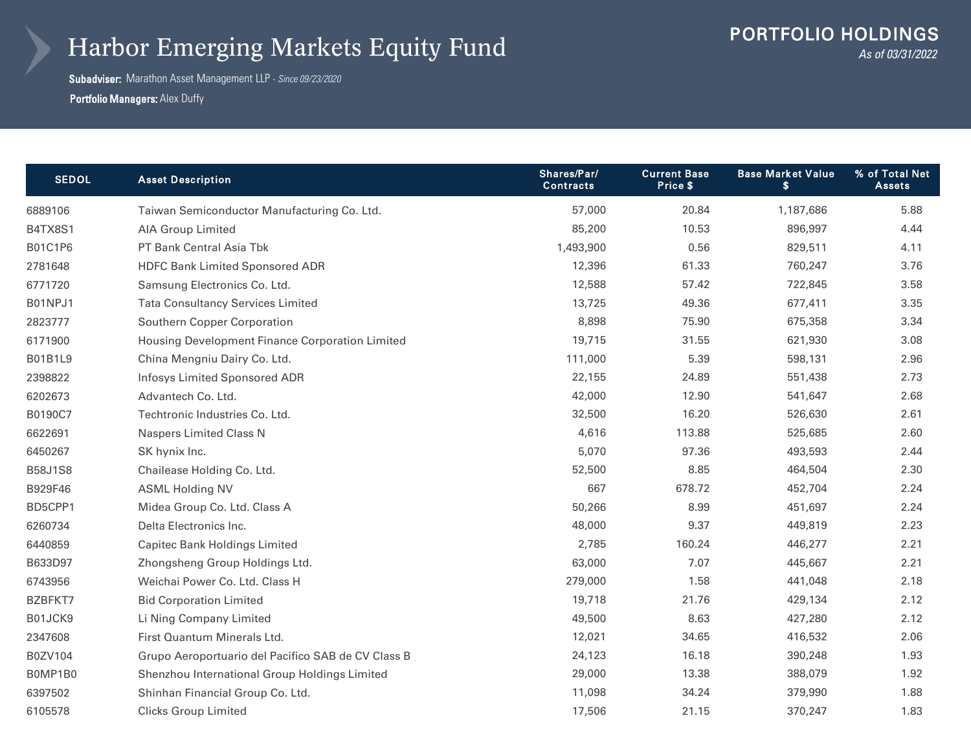## Harbor Emerging Markets Equity Fund

Subadviser: Marathon Asset Management LLP - *Since 09/23/2020* **Portfolio Managers: Alex Duffy** 

| <b>SEDOL</b>   | <b>Asset Description</b>                           | Shares/Par/<br><b>Contracts</b> | <b>Current Base</b><br>Price \$ | <b>Base Market Value</b><br>\$ | % of Total Net<br>Assets |
|----------------|----------------------------------------------------|---------------------------------|---------------------------------|--------------------------------|--------------------------|
| 6889106        | Taiwan Semiconductor Manufacturing Co. Ltd.        | 57,000                          | 20.84                           | 1,187,686                      | 5.88                     |
| B4TX8S1        | <b>AIA Group Limited</b>                           | 85,200                          | 10.53                           | 896,997                        | 4.44                     |
| B01C1P6        | PT Bank Central Asia Tbk                           | 1,493,900                       | 0.56                            | 829,511                        | 4.11                     |
| 2781648        | <b>HDFC Bank Limited Sponsored ADR</b>             | 12,396                          | 61.33                           | 760,247                        | 3.76                     |
| 6771720        | Samsung Electronics Co. Ltd.                       | 12,588                          | 57.42                           | 722,845                        | 3.58                     |
| B01NPJ1        | <b>Tata Consultancy Services Limited</b>           | 13,725                          | 49.36                           | 677,411                        | 3.35                     |
| 2823777        | Southern Copper Corporation                        | 8,898                           | 75.90                           | 675,358                        | 3.34                     |
| 6171900        | Housing Development Finance Corporation Limited    | 19,715                          | 31.55                           | 621,930                        | 3.08                     |
| B01B1L9        | China Mengniu Dairy Co. Ltd.                       | 111,000                         | 5.39                            | 598,131                        | 2.96                     |
| 2398822        | <b>Infosys Limited Sponsored ADR</b>               | 22,155                          | 24.89                           | 551,438                        | 2.73                     |
| 6202673        | Advantech Co. Ltd.                                 | 42,000                          | 12.90                           | 541,647                        | 2.68                     |
| B0190C7        | Techtronic Industries Co. Ltd.                     | 32,500                          | 16.20                           | 526,630                        | 2.61                     |
| 6622691        | <b>Naspers Limited Class N</b>                     | 4,616                           | 113.88                          | 525,685                        | 2.60                     |
| 6450267        | SK hynix Inc.                                      | 5,070                           | 97.36                           | 493,593                        | 2.44                     |
| <b>B58J1S8</b> | Chailease Holding Co. Ltd.                         | 52,500                          | 8.85                            | 464,504                        | 2.30                     |
| B929F46        | <b>ASML Holding NV</b>                             | 667                             | 678.72                          | 452,704                        | 2.24                     |
| BD5CPP1        | Midea Group Co. Ltd. Class A                       | 50,266                          | 8.99                            | 451,697                        | 2.24                     |
| 6260734        | Delta Electronics Inc.                             | 48,000                          | 9.37                            | 449,819                        | 2.23                     |
| 6440859        | Capitec Bank Holdings Limited                      | 2,785                           | 160.24                          | 446,277                        | 2.21                     |
| B633D97        | Zhongsheng Group Holdings Ltd.                     | 63,000                          | 7.07                            | 445,667                        | 2.21                     |
| 6743956        | Weichai Power Co. Ltd. Class H                     | 279,000                         | 1.58                            | 441,048                        | 2.18                     |
| BZBFKT7        | <b>Bid Corporation Limited</b>                     | 19,718                          | 21.76                           | 429,134                        | 2.12                     |
| B01JCK9        | Li Ning Company Limited                            | 49,500                          | 8.63                            | 427,280                        | 2.12                     |
| 2347608        | First Quantum Minerals Ltd.                        | 12,021                          | 34.65                           | 416,532                        | 2.06                     |
| B0ZV104        | Grupo Aeroportuario del Pacifico SAB de CV Class B | 24,123                          | 16.18                           | 390,248                        | 1.93                     |
| B0MP1B0        | Shenzhou International Group Holdings Limited      | 29,000                          | 13.38                           | 388,079                        | 1.92                     |
| 6397502        | Shinhan Financial Group Co. Ltd.                   | 11,098                          | 34.24                           | 379,990                        | 1.88                     |
| 6105578        | <b>Clicks Group Limited</b>                        | 17,506                          | 21.15                           | 370,247                        | 1.83                     |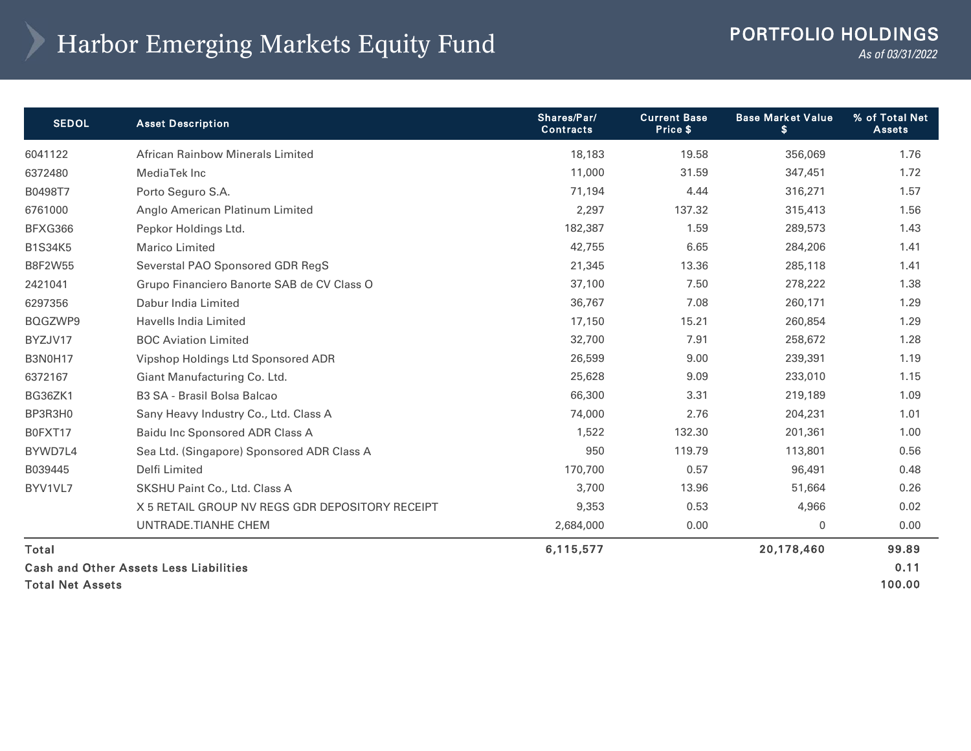## Harbor Emerging Markets Equity Fund PORTFOLIO HOLDINGS

*As of 03/31/2022* 

| <b>SEDOL</b>                           | <b>Asset Description</b>                        | Shares/Par/<br><b>Contracts</b> | <b>Current Base</b><br>Price \$ | <b>Base Market Value</b><br>\$ | % of Total Net<br><b>Assets</b> |
|----------------------------------------|-------------------------------------------------|---------------------------------|---------------------------------|--------------------------------|---------------------------------|
| 6041122                                | <b>African Rainbow Minerals Limited</b>         | 18,183                          | 19.58                           | 356,069                        | 1.76                            |
| 6372480                                | MediaTek Inc                                    | 11,000                          | 31.59                           | 347,451                        | 1.72                            |
| B0498T7                                | Porto Seguro S.A.                               | 71,194                          | 4.44                            | 316,271                        | 1.57                            |
| 6761000                                | Anglo American Platinum Limited                 | 2,297                           | 137.32                          | 315,413                        | 1.56                            |
| BFXG366                                | Pepkor Holdings Ltd.                            | 182,387                         | 1.59                            | 289,573                        | 1.43                            |
| <b>B1S34K5</b>                         | <b>Marico Limited</b>                           | 42,755                          | 6.65                            | 284,206                        | 1.41                            |
| B8F2W55                                | Severstal PAO Sponsored GDR RegS                | 21,345                          | 13.36                           | 285,118                        | 1.41                            |
| 2421041                                | Grupo Financiero Banorte SAB de CV Class O      | 37,100                          | 7.50                            | 278,222                        | 1.38                            |
| 6297356                                | Dabur India Limited                             | 36,767                          | 7.08                            | 260,171                        | 1.29                            |
| BQGZWP9                                | Havells India Limited                           | 17,150                          | 15.21                           | 260,854                        | 1.29                            |
| BYZJV17                                | <b>BOC Aviation Limited</b>                     | 32,700                          | 7.91                            | 258,672                        | 1.28                            |
| <b>B3N0H17</b>                         | Vipshop Holdings Ltd Sponsored ADR              | 26,599                          | 9.00                            | 239,391                        | 1.19                            |
| 6372167                                | Giant Manufacturing Co. Ltd.                    | 25,628                          | 9.09                            | 233,010                        | 1.15                            |
| BG36ZK1                                | B3 SA - Brasil Bolsa Balcao                     | 66,300                          | 3.31                            | 219,189                        | 1.09                            |
| BP3R3H0                                | Sany Heavy Industry Co., Ltd. Class A           | 74,000                          | 2.76                            | 204,231                        | 1.01                            |
| B0FXT17                                | Baidu Inc Sponsored ADR Class A                 | 1,522                           | 132.30                          | 201,361                        | 1.00                            |
| BYWD7L4                                | Sea Ltd. (Singapore) Sponsored ADR Class A      | 950                             | 119.79                          | 113,801                        | 0.56                            |
| B039445                                | Delfi Limited                                   | 170,700                         | 0.57                            | 96,491                         | 0.48                            |
| BYV1VL7                                | SKSHU Paint Co., Ltd. Class A                   | 3,700                           | 13.96                           | 51,664                         | 0.26                            |
|                                        | X 5 RETAIL GROUP NV REGS GDR DEPOSITORY RECEIPT | 9,353                           | 0.53                            | 4,966                          | 0.02                            |
|                                        | UNTRADE.TIANHE CHEM                             | 2,684,000                       | 0.00                            | 0                              | 0.00                            |
| Total                                  |                                                 | 6,115,577                       |                                 | 20,178,460                     | 99.89                           |
| Cash and Other Assets Less Liabilities |                                                 |                                 |                                 |                                | 0.11                            |
| <b>Total Net Assets</b>                |                                                 |                                 |                                 |                                | 100.00                          |